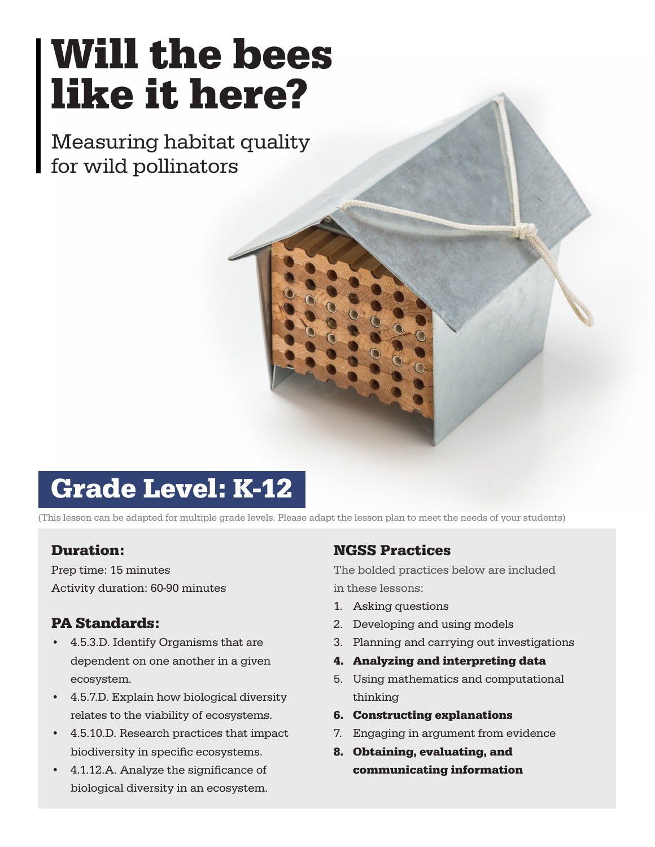# Will the bees like it here?

Measuring habitat quality for wild pollinators

# Grade Level: K-12

(This lesson can be adapted for multiple grade levels. Please adapt the lesson plan to meet the needs of your students)

#### Duration:

Prep time: 15 minutes Activity duration: 60-90 minutes

### PA Standards:

- 4.5.3.D. Identify Organisms that are dependent on one another in a given ecosystem.
- 4.5.7.D. Explain how biological diversity relates to the viability of ecosystems.
- 4.5.10.D. Research practices that impact biodiversity in specific ecosystems.
- 4.1.12.A. Analyze the significance of biological diversity in an ecosystem.

### NGSS Practices

The bolded practices below are included in these lessons:

- 1. Asking questions
- 2. Developing and using models
- 3. Planning and carrying out investigations
- 4. Analyzing and interpreting data
- 5. Using mathematics and computational thinking
- 6. Constructing explanations
- 7. Engaging in argument from evidence
- 8. Obtaining, evaluating, and communicating information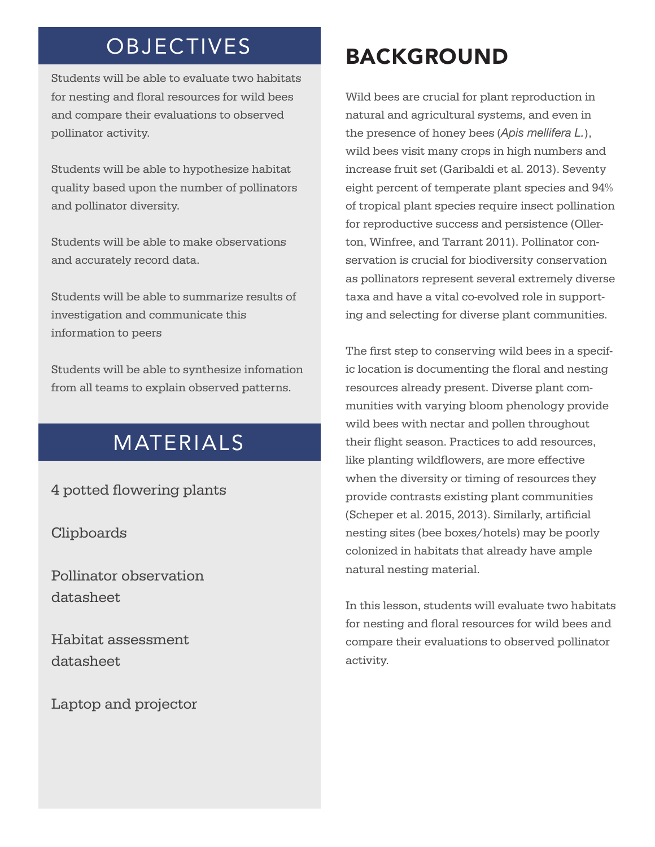# **OBJECTIVES**

Students will be able to evaluate two habitats for nesting and floral resources for wild bees and compare their evaluations to observed pollinator activity.

Students will be able to hypothesize habitat quality based upon the number of pollinators and pollinator diversity.

Students will be able to make observations and accurately record data.

Students will be able to summarize results of investigation and communicate this information to peers

Students will be able to synthesize infomation from all teams to explain observed patterns.

## MATERIALS

4 potted flowering plants

Clipboards

Pollinator observation datasheet

Habitat assessment datasheet

Laptop and projector

# BACKGROUND

Wild bees are crucial for plant reproduction in natural and agricultural systems, and even in the presence of honey bees (*Apis mellifera L.*), wild bees visit many crops in high numbers and increase fruit set (Garibaldi et al. 2013). Seventy eight percent of temperate plant species and 94% of tropical plant species require insect pollination for reproductive success and persistence (Ollerton, Winfree, and Tarrant 2011). Pollinator conservation is crucial for biodiversity conservation as pollinators represent several extremely diverse taxa and have a vital co-evolved role in supporting and selecting for diverse plant communities.

The first step to conserving wild bees in a specific location is documenting the floral and nesting resources already present. Diverse plant communities with varying bloom phenology provide wild bees with nectar and pollen throughout their flight season. Practices to add resources, like planting wildflowers, are more effective when the diversity or timing of resources they provide contrasts existing plant communities (Scheper et al. 2015, 2013). Similarly, artificial nesting sites (bee boxes/hotels) may be poorly colonized in habitats that already have ample natural nesting material.

In this lesson, students will evaluate two habitats for nesting and floral resources for wild bees and compare their evaluations to observed pollinator activity.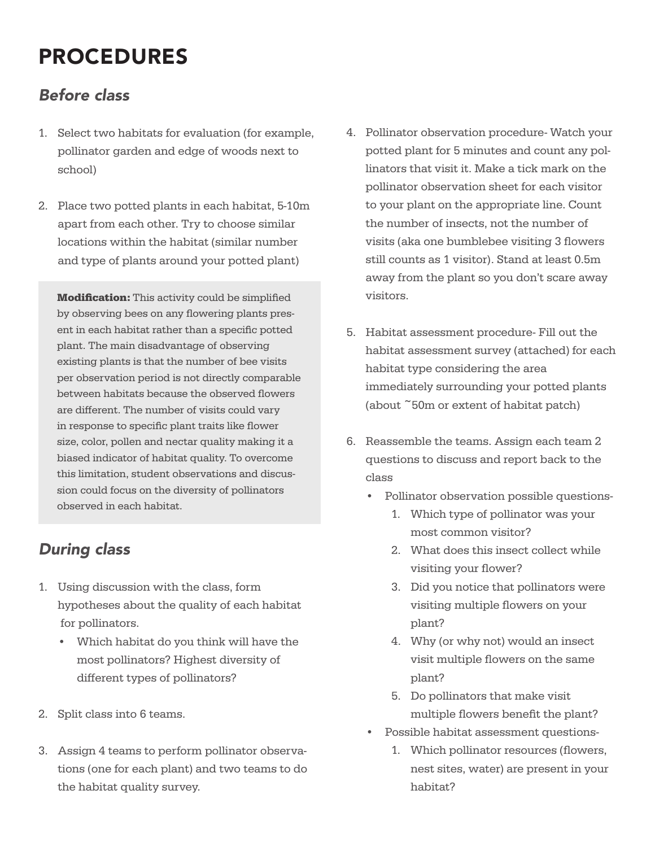# PROCEDURES

### *Before class*

- 1. Select two habitats for evaluation (for example, pollinator garden and edge of woods next to school)
- 2. Place two potted plants in each habitat, 5-10m apart from each other. Try to choose similar locations within the habitat (similar number and type of plants around your potted plant)

**Modification:** This activity could be simplified by observing bees on any flowering plants present in each habitat rather than a specific potted plant. The main disadvantage of observing existing plants is that the number of bee visits per observation period is not directly comparable between habitats because the observed flowers are different. The number of visits could vary in response to specific plant traits like flower size, color, pollen and nectar quality making it a biased indicator of habitat quality. To overcome this limitation, student observations and discussion could focus on the diversity of pollinators observed in each habitat.

### *During class*

- 1. Using discussion with the class, form hypotheses about the quality of each habitat for pollinators.
	- Which habitat do you think will have the most pollinators? Highest diversity of different types of pollinators?
- 2. Split class into 6 teams.
- 3. Assign 4 teams to perform pollinator observations (one for each plant) and two teams to do the habitat quality survey.
- 4. Pollinator observation procedure- Watch your potted plant for 5 minutes and count any pollinators that visit it. Make a tick mark on the pollinator observation sheet for each visitor to your plant on the appropriate line. Count the number of insects, not the number of visits (aka one bumblebee visiting 3 flowers still counts as 1 visitor). Stand at least 0.5m away from the plant so you don't scare away visitors.
- 5. Habitat assessment procedure- Fill out the habitat assessment survey (attached) for each habitat type considering the area immediately surrounding your potted plants (about ~50m or extent of habitat patch)
- 6. Reassemble the teams. Assign each team 2 questions to discuss and report back to the class
	- Pollinator observation possible questions-
		- 1. Which type of pollinator was your most common visitor?
		- 2. What does this insect collect while visiting your flower?
		- 3. Did you notice that pollinators were visiting multiple flowers on your plant?
		- 4. Why (or why not) would an insect visit multiple flowers on the same plant?
		- 5. Do pollinators that make visit multiple flowers benefit the plant?
	- Possible habitat assessment questions-
		- 1. Which pollinator resources (flowers, nest sites, water) are present in your habitat?